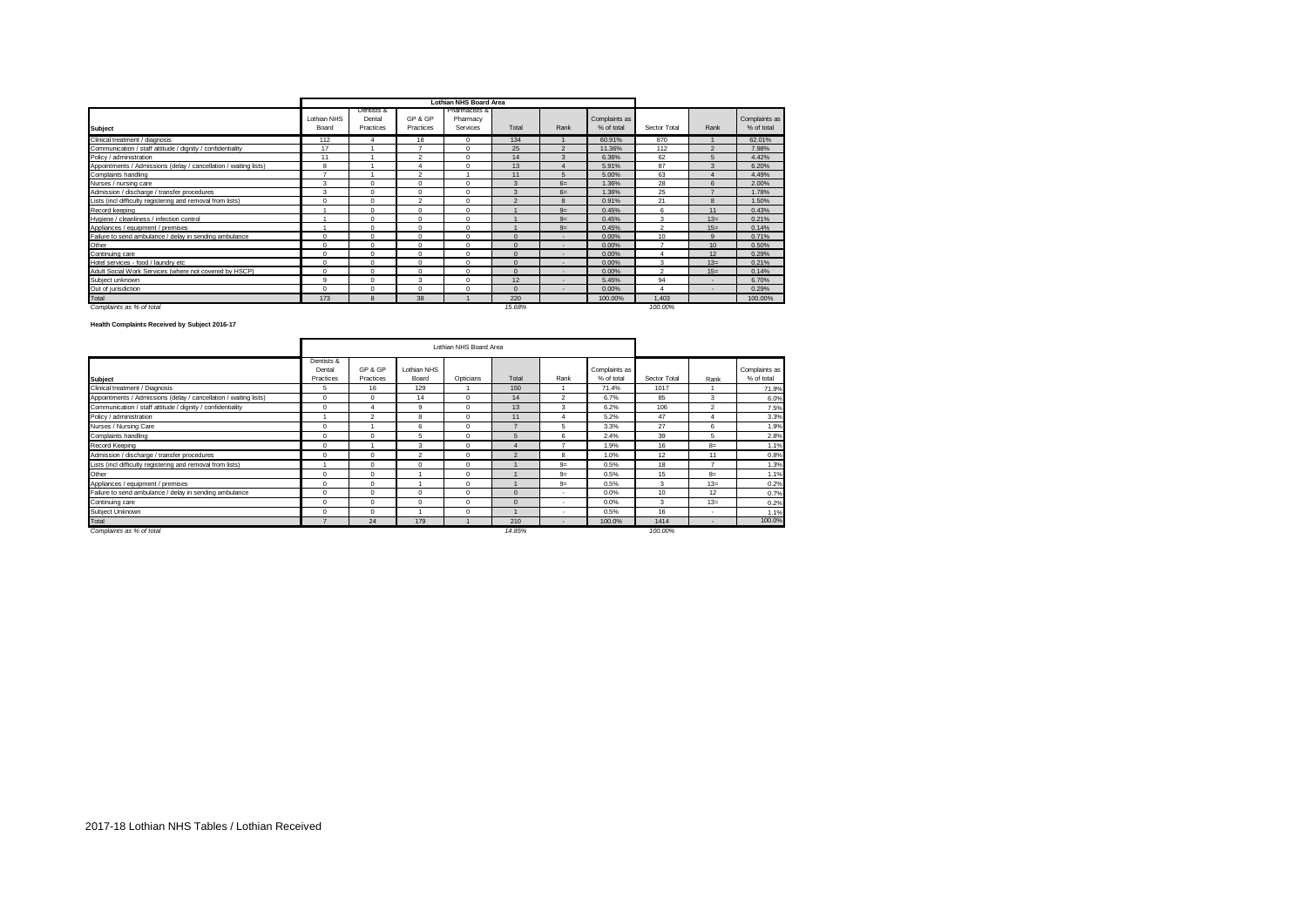|                                                                  |                       |                                   |                      | <b>Lothian NHS Board Area</b>         |                 |                          |                             |                    |                          |                             |
|------------------------------------------------------------------|-----------------------|-----------------------------------|----------------------|---------------------------------------|-----------------|--------------------------|-----------------------------|--------------------|--------------------------|-----------------------------|
| <b>Subject</b>                                                   | I othian NHS<br>Board | Dentists &<br>Dental<br>Practices | GP & GP<br>Practices | Pharmacists &<br>Pharmacy<br>Services | Total           | Rank                     | Complaints as<br>% of total | Sector Total       | Rank                     | Complaints as<br>% of total |
| Clinical treatment / diagnosis                                   | 112                   | Δ                                 | 18                   | $\Omega$                              | 134             |                          | 60.91%                      | 870                |                          | 62.01%                      |
| Communication / staff attitude / dignity / confidentiality       | 17                    |                                   |                      | $\Omega$                              | 25              | $\Omega$                 | 11.36%                      | 112                | $\Omega$                 | 7.98%                       |
| Policy / administration                                          | 11                    |                                   | $\mathfrak{p}$       | $\Omega$                              | 14              | $\mathbf{R}$             | 6.36%                       | 62                 | $\sqrt{2}$               | 4.42%                       |
| Appointments / Admissions (delay / cancellation / waiting lists) | R                     |                                   |                      | $\Omega$                              | 13              |                          | 5.91%                       | 87                 | $\mathbf{R}$             | 6.20%                       |
| Complaints handling                                              | -                     |                                   | $\mathcal{L}$        |                                       | 11              | 5                        | 5.00%                       | 63                 |                          | 4.49%                       |
| Nurses / nursing care                                            | 3                     | Λ                                 | $\Omega$             | $\Omega$                              | $\mathbf{R}$    | $6=$                     | 1.36%                       | 28                 | $\kappa$                 | 2.00%                       |
| Admission / discharge / transfer procedures                      | 3                     | Λ                                 | $\Omega$             | $\Omega$                              | $\mathbf{R}$    | $6=$                     | 1.36%                       | 25                 |                          | 1.78%                       |
| Lists (incl difficulty registering and removal from lists)       | $\Omega$              | O                                 | $\mathfrak{p}$       | $\Omega$                              | $\sim$          | $\mathbf{R}$             | 0.91%                       | 21                 | $\mathbf{R}$             | 1.50%                       |
| Record keeping                                                   |                       | O                                 | $\Omega$             | $\Omega$                              |                 | $9=$                     | 0.45%                       | 6                  | 11                       | 0.43%                       |
| Hygiene / cleanliness / infection control                        |                       | $\Omega$                          | $\Omega$             | $\Omega$                              |                 | $9=$                     | 0.45%                       | 3                  | $13=$                    | 0.21%                       |
| Appliances / equipment / premises                                |                       | O                                 | $\Omega$             | $\Omega$                              |                 | $9=$                     | 0.45%                       | $\mathfrak{p}$     | $15=$                    | 0.14%                       |
| Failure to send ambulance / delay in sending ambulance           | $\Omega$              | $\Omega$                          | $\Omega$             | $\Omega$                              | $\Omega$        | $\overline{\phantom{a}}$ | 0.00%                       | 10 <sup>1</sup>    | $\Omega$                 | 0.71%                       |
| Other                                                            | $\Omega$              | Λ                                 | $\Omega$             | $\Omega$                              | $\Omega$        | $\overline{\phantom{a}}$ | 0.00%                       | ۰,                 | 10 <sub>10</sub>         | 0.50%                       |
| Continuing care                                                  | $\Omega$              | $\Omega$                          | $\Omega$             | $\Omega$                              | $\Omega$        | $\overline{\phantom{a}}$ | 0.00%                       |                    | 12                       | 0.29%                       |
| Hotel services - food / laundry etc                              | $\Omega$              | $\Omega$                          | $\Omega$             | $\Omega$                              | $\Omega$        | $\overline{\phantom{a}}$ | 0.00%                       | $\mathbf{\hat{z}}$ | $13=$                    | 0.21%                       |
| Adult Social Work Services (where not covered by HSCP)           | $\Omega$              | $\Omega$                          | $\Omega$             | $\Omega$                              | $\Omega$        | $\overline{\phantom{a}}$ | 0.00%                       | $\mathcal{P}$      | $15=$                    | 0.14%                       |
| Subiect unknown                                                  | $\Omega$              | $\Omega$                          | $\mathbf{\hat{z}}$   | $\Omega$                              | 12 <sup>2</sup> | $\overline{\phantom{a}}$ | 5.45%                       | 94                 | $\overline{\phantom{a}}$ | 6.70%                       |
| Out of jurisdiction                                              | $\Omega$              | $\Omega$                          | $\Omega$             | $\Omega$                              | $\Omega$        | $\overline{\phantom{a}}$ | 0.00%                       |                    | $\overline{\phantom{a}}$ | 0.29%                       |
| Total                                                            | 173                   | 8                                 | 38                   |                                       | 220             |                          | 100.00%                     | 1.403              |                          | 100.00%                     |
| Complaints as % of total                                         |                       |                                   |                      |                                       | 15.68%          |                          |                             | 100.00%            |                          |                             |

## **Health Complaints Received by Subject 2016-17**

|                                                                  |                      |                |                | Lothian NHS Board Area |                |                |               |              |                          |               |
|------------------------------------------------------------------|----------------------|----------------|----------------|------------------------|----------------|----------------|---------------|--------------|--------------------------|---------------|
|                                                                  | Dentists &<br>Dental | GP & GP        | Lothian NHS    |                        |                |                | Complaints as |              |                          | Complaints as |
| <b>Subject</b>                                                   | Practices            | Practices      | Board          | Opticians              | Total          | Rank           | % of total    | Sector Total | Rank                     | % of total    |
| Clinical treatment / Diagnosis                                   | 5                    | 16             | 129            |                        | 150            |                | 71.4%         | 1017         |                          | 71.9%         |
| Appointments / Admissions (delay / cancellation / waiting lists) | $\Omega$             | $^{\circ}$     | 14             | $\Omega$               | 14             | $\mathfrak{p}$ | 6.7%          | 85           | 3                        | 6.0%          |
| Communication / staff attitude / dignity / confidentiality       | $\Omega$             |                | 9              | $\Omega$               | 13             | 3              | 6.2%          | 106          | $\mathfrak{p}$           | 7.5%          |
| Policy / administration                                          |                      | $\mathfrak{p}$ | 8              | $\Omega$               | 11             | 4              | 5.2%          | 47           | 4                        | 3.3%          |
| Nurses / Nursing Care                                            | $\Omega$             |                | 6              | $\Omega$               | $\overline{z}$ | 5              | 3.3%          | 27           | 6                        | 1.9%          |
| Complaints handling                                              | $\Omega$             | $^{\circ}$     | 5              | $\Omega$               | 5              | 6              | 2.4%          | 39           | 5                        | 2.8%          |
| Record Keeping                                                   | $\Omega$             |                | 3              | $\Omega$               | 4              | ۰,             | 1.9%          | 16           | $8\pm$                   | 1.1%          |
| Admission / discharge / transfer procedures                      | $\Omega$             | $\mathbf 0$    | $\mathfrak{p}$ | $\Omega$               | $\mathfrak{p}$ | 8              | 1.0%          | 12           | 11                       | 0.8%          |
| Lists (incl difficulty registering and removal from lists)       |                      | $\mathbf 0$    | $\Omega$       | $\Omega$               |                | $9=$           | 0.5%          | 18           | $\overline{\phantom{a}}$ | 1.3%          |
| Other                                                            | $\Omega$             | 0              |                |                        |                | $9=$           | 0.5%          | 15           | $8=$                     | 1.1%          |
| Appliances / equipment / premises                                | $\Omega$             | 0              |                | $\Omega$               |                | $9=$           | 0.5%          | 3            | $13 =$                   | 0.2%          |
| Failure to send ambulance / delay in sending ambulance           | $\Omega$             | 0              | $\Omega$       | $\Omega$               | $\mathbf{0}$   | $\sim$         | 0.0%          | 10           | 12                       | 0.7%          |
| Continuing care                                                  | $\Omega$             | $\Omega$       | $\Omega$       | $\Omega$               | $\Omega$       | $\sim$         | 0.0%          | $\mathbf{R}$ | $13=$                    | 0.2%          |
| Subject Unknown                                                  | $\Omega$             | $\Omega$       |                | $\Omega$               |                | $\sim$         | 0.5%          | 16           | ۰                        | 1.1%          |
| Total                                                            |                      | 24             | 179            |                        | 210            | $\sim$         | 100.0%        | 1414         | $\overline{\phantom{a}}$ | 100.0%        |
| Complaints as % of total                                         |                      |                |                |                        | 14.85%         |                |               | 100.00%      |                          |               |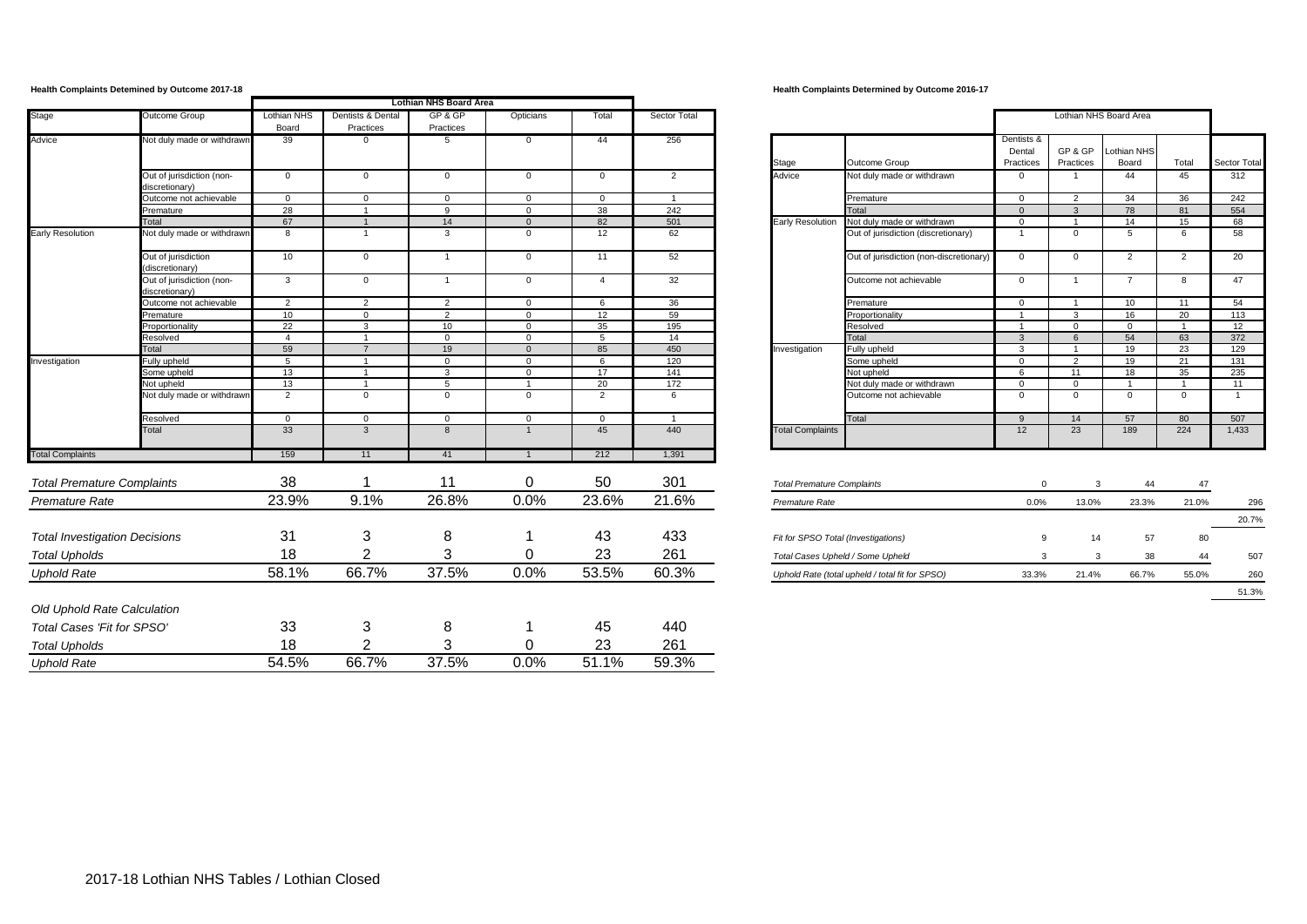|                                      |                                             |                             |                                | Lothian NHS Board Area |                |                 |                |                                     |                                                 |                                   |                      |                        |                |                |
|--------------------------------------|---------------------------------------------|-----------------------------|--------------------------------|------------------------|----------------|-----------------|----------------|-------------------------------------|-------------------------------------------------|-----------------------------------|----------------------|------------------------|----------------|----------------|
| Stage                                | Outcome Group                               | <b>Lothian NHS</b><br>Board | Dentists & Dental<br>Practices | GP&GP<br>Practices     | Opticians      | Total           | Sector Total   |                                     |                                                 |                                   |                      | Lothian NHS Board Area |                |                |
| Advice                               | Not duly made or withdrawn                  | 39                          | 0                              | 5                      | 0              | 44              | 256            | Stage                               | Outcome Group                                   | Dentists &<br>Dental<br>Practices | GP & GP<br>Practices | Lothian NHS<br>Board   | Total          | Sector Total   |
|                                      | Out of jurisdiction (non-<br>discretionary) | $\overline{0}$              | $\mathbf 0$                    | $\mathbf{0}$           | $\mathbf 0$    | $\mathbf{0}$    | 2              | Advice                              | Not duly made or withdrawn                      | $\mathbf 0$                       | $\overline{1}$       | 44                     | 45             | 312            |
|                                      | Outcome not achievable                      | $\overline{0}$              | $\overline{0}$                 | $\mathbf{0}$           | $\mathbf{0}$   | $\mathbf{0}$    | $\overline{1}$ |                                     | Premature                                       | $\overline{0}$                    | $\overline{2}$       | 34                     | 36             | 242            |
|                                      | Premature                                   | 28                          | $\overline{1}$                 | 9                      | $\mathbf{0}$   | 38              | 242            |                                     | Total                                           | $\overline{0}$                    | $\mathbf{3}$         | 78                     | 81             | 554            |
|                                      | Total                                       | 67                          | $\overline{1}$                 | 14                     | $\Omega$       | 82              | 501            | <b>Early Resolution</b>             | Not duly made or withdrawn                      | $\Omega$                          | $\overline{1}$       | 14                     | 15             | 68             |
| <b>Early Resolution</b>              | Not duly made or withdrawn                  | 8                           | $\overline{1}$                 | $\mathbf{3}$           | $\mathbf 0$    | 12              | 62             |                                     | Out of jurisdiction (discretionary)             | $\overline{1}$                    | $\mathbf{0}$         | 5                      | 6              | 58             |
|                                      | Out of jurisdiction<br>(discretionary)      | 10                          | $\mathbf 0$                    | $\overline{1}$         | $\mathbf 0$    | 11              | 52             |                                     | Out of jurisdiction (non-discretionary)         | $\overline{0}$                    | $\mathbf 0$          | 2                      | $\overline{2}$ | 20             |
|                                      | Out of jurisdiction (non-<br>discretionary) | $\mathbf{3}$                | $\mathbf{0}$                   | $\overline{1}$         | $\mathbf 0$    | $\overline{a}$  | 32             |                                     | Outcome not achievable                          | $\mathbf 0$                       | $\overline{1}$       | $\overline{7}$         | 8              | 47             |
|                                      | Outcome not achievable                      | $\overline{2}$              | 2                              | 2                      | $\Omega$       | -6              | 36             |                                     | Premature                                       | $\Omega$                          | $\overline{1}$       | 10                     | 11             | 54             |
|                                      | Premature                                   | 10                          | $\mathbf{0}$                   | 2                      | $\mathbf{0}$   | 12              | 59             |                                     | Proportionality                                 | $\overline{1}$                    | $\mathbf{3}$         | 16                     | 20             | 113            |
|                                      | Proportionality                             | 22                          | $\overline{3}$                 | 10                     | $\overline{0}$ | 35              | 195            |                                     | Resolved                                        | $\overline{1}$                    | $\Omega$             | $\Omega$               | $\overline{1}$ | 12             |
|                                      | Resolved                                    | $\overline{4}$              | $\overline{1}$                 | $\mathbf{0}$           | $\mathbf{0}$   | $5\overline{5}$ | 14             |                                     | Total                                           | $\mathbf{3}$                      | 6                    | 54                     | 63             | 372            |
|                                      | Total                                       | 59                          | $\overline{7}$                 | 19                     | $\mathbf{0}$   | 85              | 450            | Investigation                       | Fully upheld                                    | $\mathbf{3}$                      | $\overline{1}$       | 19                     | 23             | 129            |
| Investigation                        | Fully upheld                                | 5                           | $\overline{1}$                 | $\overline{0}$         | $\mathbf 0$    | 6               | 120            |                                     | Some upheld                                     | $\overline{0}$                    | $\overline{2}$       | 19                     | 21             | 131            |
|                                      | Some upheld                                 | 13                          | $\overline{1}$                 | $\mathbf{3}$           | $\mathbf{0}$   | 17              | 141            |                                     | Not upheld                                      | 6                                 | 11                   | 18                     | 35             | 235            |
|                                      | Not upheld                                  | 13                          | $\overline{1}$                 | 5                      | $\overline{1}$ | 20              | 172            |                                     | Not duly made or withdrawn                      | $\overline{0}$                    | $\Omega$             | $\overline{1}$         | $\overline{1}$ | 11             |
|                                      | Not duly made or withdrawn                  | 2                           | $\mathbf 0$                    | $\mathbf{0}$           | $\mathsf 0$    | 2               | 6              |                                     | Outcome not achievable                          | $\mathbf{0}$                      | $\mathbf{0}$         | $\mathbf{0}$           | $\mathbf 0$    | $\overline{1}$ |
|                                      | Resolved                                    | $\overline{0}$              | $\mathbf{0}$                   | $\overline{0}$         | $\overline{0}$ | $\Omega$        | $\overline{1}$ |                                     | Total                                           | $\mathbf{q}$                      | 14                   | 57                     | 80             | 507            |
|                                      | Total                                       | 33                          | $\mathbf{3}$                   | 8                      | $\overline{1}$ | 45              | 440            | <b>Total Complaints</b>             |                                                 | 12                                | 23                   | 189                    | 224            | 1,433          |
| <b>Total Complaints</b>              |                                             | 159                         | 11                             | 41                     |                | 212             | 1,391          |                                     |                                                 |                                   |                      |                        |                |                |
| <b>Total Premature Complaints</b>    |                                             | 38                          |                                | 11                     | $\mathbf 0$    | 50              | 301            | <b>Total Premature Complaints</b>   |                                                 | $\mathbf{0}$                      | 3                    | 44                     | 47             |                |
| Premature Rate                       |                                             | 23.9%                       | 9.1%                           | 26.8%                  | 0.0%           | 23.6%           | 21.6%          | Premature Rate                      |                                                 | 0.0%                              | 13.0%                | 23.3%                  | 21.0%          | 296            |
|                                      |                                             |                             |                                |                        |                |                 |                |                                     |                                                 |                                   |                      |                        |                | 20.7%          |
| <b>Total Investigation Decisions</b> |                                             | 31                          | 3                              | 8                      |                | 43              | 433            | Fit for SPSO Total (Investigations) |                                                 | 9                                 | 14                   | 57                     | 80             |                |
| <b>Total Upholds</b>                 |                                             | 18                          | 2                              | 3                      | 0              | 23              | 261            | Total Cases Upheld / Some Upheld    |                                                 | $\mathbf{B}$                      | 3                    | 38                     | 44             | 507            |
| <b>Uphold Rate</b>                   |                                             | 58.1%                       | 66.7%                          | 37.5%                  | 0.0%           | 53.5%           | 60.3%          |                                     | Uphold Rate (total upheld / total fit for SPSO) | 33.3%                             | 21.4%                | 66.7%                  | 55.0%          | 260            |
|                                      |                                             |                             |                                |                        |                |                 |                |                                     |                                                 |                                   |                      |                        |                | 51.3%          |
| Old Uphold Rate Calculation          |                                             |                             |                                |                        |                |                 |                |                                     |                                                 |                                   |                      |                        |                |                |
| Total Cases 'Fit for SPSO'           |                                             | 33                          | 3                              | 8                      |                | 45              | 440            |                                     |                                                 |                                   |                      |                        |                |                |
| <b>Total Upholds</b>                 |                                             | 18                          | 2                              | 3                      | $\Omega$       | 23              | 261            |                                     |                                                 |                                   |                      |                        |                |                |
| <b>Uphold Rate</b>                   |                                             | 54.5%                       | 66.7%                          | 37.5%                  | 0.0%           | 51.1%           | 59.3%          |                                     |                                                 |                                   |                      |                        |                |                |

**Health Complaints Detemined by Outcome 2017-18 Health Complaints Determined by Outcome 2016-17**

| an NHS<br>oard   | Dentists & Dental<br>Practices | GP& GP<br>Practices | Opticians      | Total          | Sector Total   |                         |                                         |                                   |                      | Lothian NHS Board Area |              |                     |
|------------------|--------------------------------|---------------------|----------------|----------------|----------------|-------------------------|-----------------------------------------|-----------------------------------|----------------------|------------------------|--------------|---------------------|
| 39               | $^{\circ}$                     | 5                   | $\mathbf 0$    | 44             | 256            | Stage                   | Outcome Group                           | Dentists &<br>Dental<br>Practices | GP & GP<br>Practices | Lothian NHS<br>Board   | Total        | <b>Sector Total</b> |
| $\overline{0}$   | $\mathbf 0$                    | $\mathbf 0$         | $\mathbf 0$    | $\mathbf{0}$   | 2              | Advice                  | Not duly made or withdrawn              | 0                                 |                      | 44                     | 45           | 312                 |
| $\mathbf 0$      | $\mathbf{0}$                   | $\mathbf 0$         | $\mathbf 0$    | $\mathbf{0}$   | $\overline{4}$ |                         | Premature                               | $\mathbf 0$                       | $\overline{2}$       | 34                     | 36           | 242                 |
| 28<br>67         |                                | 9                   | $\Omega$       | 38             | 242            |                         | Total                                   | $\Omega$                          | 3                    | 78                     | 81           | 554                 |
|                  |                                | 14                  | $\mathbf{0}$   | 82             | 501            | <b>Early Resolution</b> | Not duly made or withdrawn              | $\mathbf 0$                       |                      | 14                     | 15           | 68                  |
| 8                |                                | 3                   | $\mathbf 0$    | 12             | 62             |                         | Out of jurisdiction (discretionary)     |                                   | 0                    | 5                      | 6            | 58                  |
| 10 <sup>10</sup> | $\mathbf 0$                    |                     | $\mathbf 0$    | 11             | 52             |                         | Out of jurisdiction (non-discretionary) | $\Omega$                          | $\Omega$             | $\overline{2}$         | 2            | 20                  |
| 3                | $\mathbf 0$                    |                     | $\mathbf 0$    | $\overline{4}$ | 32             |                         | Outcome not achievable                  | $\Omega$                          |                      | $\overline{7}$         | 8            | 47                  |
| $\overline{2}$   | 2                              | 2                   | $\Omega$       | 6              | 36             |                         | Premature                               | $\Omega$                          |                      | 10                     | 11           | 54                  |
| 10 <sup>10</sup> | $\mathbf{0}$                   | 2                   | $\Omega$       | 12             | 59             |                         | Proportionality                         |                                   | 3                    | 16                     | 20           | 113                 |
| 22               | 3                              | 10                  | $\mathbf 0$    | 35             | 195            |                         | Resolved                                |                                   | $\mathbf 0$          | $\mathbf{0}$           |              | 12                  |
| $\overline{4}$   |                                | $\mathbf{0}$        | $\mathbf 0$    | 5              | 14             |                         | Total                                   | 3                                 | 6                    | 54                     | 63           | 372                 |
| $\frac{59}{5}$   | $\overline{7}$                 | 19                  | $\mathbf{0}$   | 85             | 450            | Investigation           | Fully upheld                            | 3                                 |                      | 19                     | 23           | 129                 |
|                  |                                | $\mathbf{0}$        | $\mathbf 0$    | 6              | 120            |                         | Some upheld                             | $\mathbf 0$                       | 2                    | 19                     | 21           | 131                 |
| 13               |                                | 3                   | $\mathbf 0$    | 17             | 141            |                         | Not upheld                              | 6                                 | 11                   | 18                     | 35           | 235                 |
| 13               |                                | 5                   | $\overline{1}$ | 20             | 172            |                         | Not duly made or withdrawn              | $\Omega$                          | $\mathbf 0$          | $\overline{ }$         |              | 11                  |
| $\overline{2}$   | $\Omega$                       | $\mathbf 0$         | $\mathbf 0$    | $\overline{2}$ | 6              |                         | Outcome not achievable                  | $\mathbf 0$                       | $\mathbf 0$          | $\mathbf{0}$           | $\mathbf{0}$ |                     |
| $\mathbf 0$      | $\mathbf{0}$                   | $\Omega$            | $\Omega$       | $\mathbf{0}$   |                |                         | Total                                   | $\Omega$                          | 14                   | 57                     | 80           | 507                 |
| 33               | 3                              | 8                   |                | 45             | 440            | <b>Total Complaints</b> |                                         | 12                                | 23                   | 189                    | 224          | 1,433               |
| 159              | 11                             | 41                  |                | 212            | 1.391          |                         |                                         |                                   |                      |                        |              |                     |

| <b>Total Premature Complaints</b>               | 0     | 3     | 44    | 47    |       |
|-------------------------------------------------|-------|-------|-------|-------|-------|
| Premature Rate                                  | 0.0%  | 13.0% | 23.3% | 21.0% | 296   |
|                                                 |       |       |       |       | 20.7% |
| Fit for SPSO Total (Investigations)             | 9     | 14    | 57    | 80    |       |
| Total Cases Upheld / Some Upheld                | 3     | 3     | 38    | 44    | 507   |
| Uphold Rate (total upheld / total fit for SPSO) | 33.3% | 21.4% | 66.7% | 55.0% | 260   |
|                                                 |       |       |       |       | 51.3% |